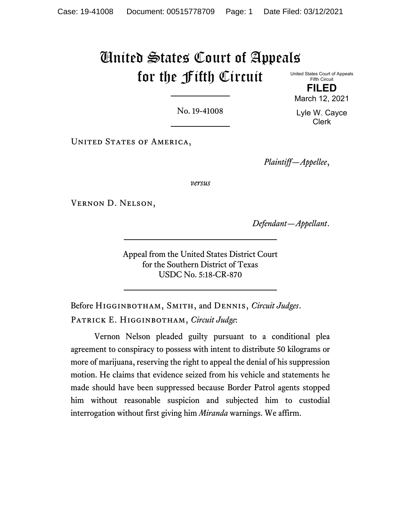# United States Court of Appeals for the Fifth Circuit

United States Court of Appeals Fifth Circuit

**FILED** March 12, 2021

Lyle W. Cayce Clerk

No. 19-41008

UNITED STATES OF AMERICA,

*Plaintiff—Appellee*,

*versus*

Vernon D. Nelson,

*Defendant—Appellant*.

Appeal from the United States District Court for the Southern District of Texas USDC No. 5:18-CR-870

Before Higginbotham, Smith, and Dennis, *Circuit Judges*. Patrick E. Higginbotham, *Circuit Judge*:

Vernon Nelson pleaded guilty pursuant to a conditional plea agreement to conspiracy to possess with intent to distribute 50 kilograms or more of marijuana, reserving the right to appeal the denial of his suppression motion. He claims that evidence seized from his vehicle and statements he made should have been suppressed because Border Patrol agents stopped him without reasonable suspicion and subjected him to custodial interrogation without first giving him *Miranda* warnings. We affirm.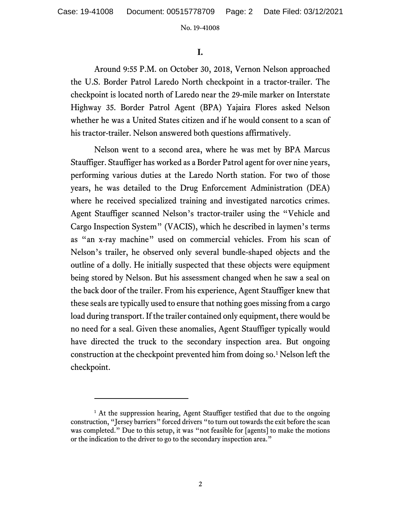**I.** 

Around 9:55 P.M. on October 30, 2018, Vernon Nelson approached the U.S. Border Patrol Laredo North checkpoint in a tractor-trailer. The checkpoint is located north of Laredo near the 29-mile marker on Interstate Highway 35. Border Patrol Agent (BPA) Yajaira Flores asked Nelson whether he was a United States citizen and if he would consent to a scan of his tractor-trailer. Nelson answered both questions affirmatively.

Nelson went to a second area, where he was met by BPA Marcus Stauffiger. Stauffiger has worked as a Border Patrol agent for over nine years, performing various duties at the Laredo North station. For two of those years, he was detailed to the Drug Enforcement Administration (DEA) where he received specialized training and investigated narcotics crimes. Agent Stauffiger scanned Nelson's tractor-trailer using the "Vehicle and Cargo Inspection System" (VACIS), which he described in laymen's terms as "an x-ray machine" used on commercial vehicles. From his scan of Nelson's trailer, he observed only several bundle-shaped objects and the outline of a dolly. He initially suspected that these objects were equipment being stored by Nelson. But his assessment changed when he saw a seal on the back door of the trailer. From his experience, Agent Stauffiger knew that these seals are typically used to ensure that nothing goes missing from a cargo load during transport. If the trailer contained only equipment, there would be no need for a seal. Given these anomalies, Agent Stauffiger typically would have directed the truck to the secondary inspection area. But ongoing construction at the checkpoint prevented him from doing so. [1](#page-1-0) Nelson left the checkpoint.

<span id="page-1-0"></span><sup>&</sup>lt;sup>1</sup> At the suppression hearing, Agent Stauffiger testified that due to the ongoing construction, "Jersey barriers" forced drivers "to turn out towards the exit before the scan was completed." Due to this setup, it was "not feasible for [agents] to make the motions or the indication to the driver to go to the secondary inspection area."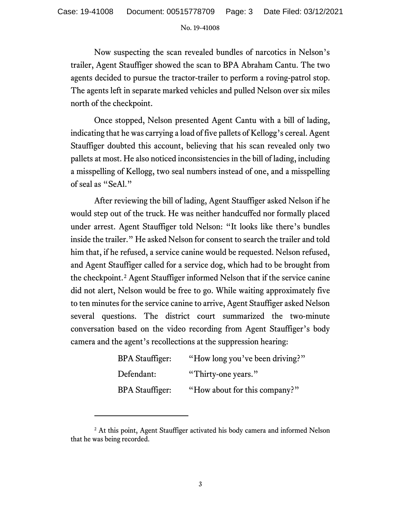Now suspecting the scan revealed bundles of narcotics in Nelson's trailer, Agent Stauffiger showed the scan to BPA Abraham Cantu. The two agents decided to pursue the tractor-trailer to perform a roving-patrol stop. The agents left in separate marked vehicles and pulled Nelson over six miles north of the checkpoint.

Once stopped, Nelson presented Agent Cantu with a bill of lading, indicating that he was carrying a load of five pallets of Kellogg's cereal. Agent Stauffiger doubted this account, believing that his scan revealed only two pallets at most. He also noticed inconsistencies in the bill of lading, including a misspelling of Kellogg, two seal numbers instead of one, and a misspelling of seal as "SeAl."

After reviewing the bill of lading, Agent Stauffiger asked Nelson if he would step out of the truck. He was neither handcuffed nor formally placed under arrest. Agent Stauffiger told Nelson: "It looks like there's bundles inside the trailer." He asked Nelson for consent to search the trailer and told him that, if he refused, a service canine would be requested. Nelson refused, and Agent Stauffiger called for a service dog, which had to be brought from the checkpoint.<sup>[2](#page-2-0)</sup> Agent Stauffiger informed Nelson that if the service canine did not alert, Nelson would be free to go. While waiting approximately five to ten minutes for the service canine to arrive, Agent Stauffiger asked Nelson several questions. The district court summarized the two-minute conversation based on the video recording from Agent Stauffiger's body camera and the agent's recollections at the suppression hearing:

| <b>BPA Stauffiger:</b> | "How long you've been driving?" |
|------------------------|---------------------------------|
| Defendant:             | "Thirty-one years."             |
| <b>BPA Stauffiger:</b> | "How about for this company?"   |

<span id="page-2-0"></span><sup>&</sup>lt;sup>2</sup> At this point, Agent Stauffiger activated his body camera and informed Nelson that he was being recorded.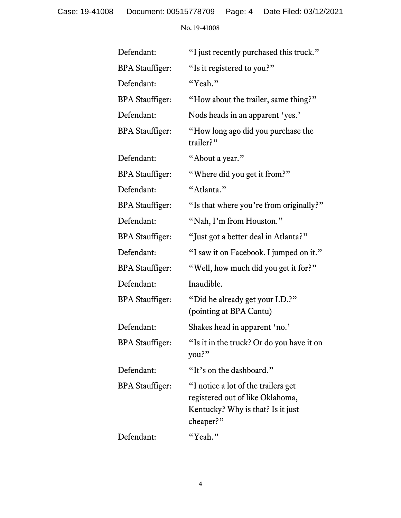Case: 19-41008 Document: 00515778709 Page: 4 Date Filed: 03/12/2021

No. 19-41008

| Defendant:             | "I just recently purchased this truck."                                                                                   |
|------------------------|---------------------------------------------------------------------------------------------------------------------------|
| <b>BPA</b> Stauffiger: | "Is it registered to you?"                                                                                                |
| Defendant:             | "Yeah."                                                                                                                   |
| <b>BPA</b> Stauffiger: | "How about the trailer, same thing?"                                                                                      |
| Defendant:             | Nods heads in an apparent 'yes.'                                                                                          |
| <b>BPA</b> Stauffiger: | "How long ago did you purchase the<br>trailer?"                                                                           |
| Defendant:             | "About a year."                                                                                                           |
| <b>BPA</b> Stauffiger: | "Where did you get it from?"                                                                                              |
| Defendant:             | "Atlanta."                                                                                                                |
| <b>BPA</b> Stauffiger: | "Is that where you're from originally?"                                                                                   |
| Defendant:             | "Nah, I'm from Houston."                                                                                                  |
| <b>BPA</b> Stauffiger: | "Just got a better deal in Atlanta?"                                                                                      |
| Defendant:             | "I saw it on Facebook. I jumped on it."                                                                                   |
| <b>BPA</b> Stauffiger: | "Well, how much did you get it for?"                                                                                      |
| Defendant:             | Inaudible.                                                                                                                |
| <b>BPA</b> Stauffiger: | "Did he already get your I.D.?"<br>(pointing at BPA Cantu)                                                                |
| Defendant:             | Shakes head in apparent 'no.'                                                                                             |
| <b>BPA</b> Stauffiger: | "Is it in the truck? Or do you have it on<br>you?"                                                                        |
| Defendant:             | "It's on the dashboard."                                                                                                  |
| <b>BPA</b> Stauffiger: | "I notice a lot of the trailers get<br>registered out of like Oklahoma,<br>Kentucky? Why is that? Is it just<br>cheaper?" |
| Defendant:             | "Yeah."                                                                                                                   |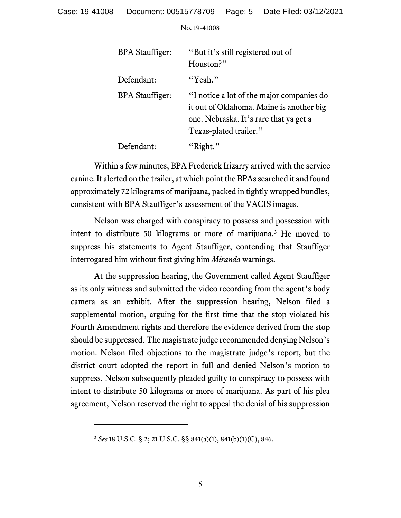| <b>BPA</b> Stauffiger: | "But it's still registered out of<br>Houston?"                                                                                                            |
|------------------------|-----------------------------------------------------------------------------------------------------------------------------------------------------------|
| Defendant:             | "Yeah."                                                                                                                                                   |
| <b>BPA</b> Stauffiger: | "I notice a lot of the major companies do<br>it out of Oklahoma. Maine is another big<br>one. Nebraska. It's rare that ya get a<br>Texas-plated trailer." |
| Defendant:             | "Right."                                                                                                                                                  |

Within a few minutes, BPA Frederick Irizarry arrived with the service canine. It alerted on the trailer, at which point the BPAs searched it and found approximately 72 kilograms of marijuana, packed in tightly wrapped bundles, consistent with BPA Stauffiger's assessment of the VACIS images.

Nelson was charged with conspiracy to possess and possession with intent to distribute 50 kilograms or more of marijuana.[3](#page-4-0) He moved to suppress his statements to Agent Stauffiger, contending that Stauffiger interrogated him without first giving him *Miranda* warnings.

At the suppression hearing, the Government called Agent Stauffiger as its only witness and submitted the video recording from the agent's body camera as an exhibit. After the suppression hearing, Nelson filed a supplemental motion, arguing for the first time that the stop violated his Fourth Amendment rights and therefore the evidence derived from the stop should be suppressed. The magistrate judge recommended denying Nelson's motion. Nelson filed objections to the magistrate judge's report, but the district court adopted the report in full and denied Nelson's motion to suppress. Nelson subsequently pleaded guilty to conspiracy to possess with intent to distribute 50 kilograms or more of marijuana. As part of his plea agreement, Nelson reserved the right to appeal the denial of his suppression

<span id="page-4-0"></span><sup>3</sup> *See* 18 U.S.C. § 2; 21 U.S.C. §§ 841(a)(1), 841(b)(1)(C), 846.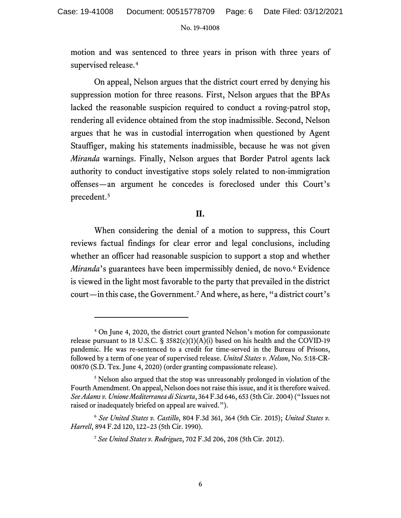motion and was sentenced to three years in prison with three years of supervised release.<sup>[4](#page-5-0)</sup>

On appeal, Nelson argues that the district court erred by denying his suppression motion for three reasons. First, Nelson argues that the BPAs lacked the reasonable suspicion required to conduct a roving-patrol stop, rendering all evidence obtained from the stop inadmissible. Second, Nelson argues that he was in custodial interrogation when questioned by Agent Stauffiger, making his statements inadmissible, because he was not given *Miranda* warnings. Finally, Nelson argues that Border Patrol agents lack authority to conduct investigative stops solely related to non-immigration offenses—an argument he concedes is foreclosed under this Court's precedent.[5](#page-5-1)

# **II.**

When considering the denial of a motion to suppress, this Court reviews factual findings for clear error and legal conclusions, including whether an officer had reasonable suspicion to support a stop and whether *Miranda*'s guarantees have been impermissibly denied, de novo. [6](#page-5-2) Evidence is viewed in the light most favorable to the party that prevailed in the district court—in this case, the Government.[7](#page-5-3) And where, as here, "a district court's

<span id="page-5-0"></span><sup>4</sup> On June 4, 2020, the district court granted Nelson's motion for compassionate release pursuant to 18 U.S.C.  $\S$  3582(c)(1)(A)(i) based on his health and the COVID-19 pandemic. He was re-sentenced to a credit for time-served in the Bureau of Prisons, followed by a term of one year of supervised release. *United States v. Nelson*, No. 5:18-CR-00870 (S.D. Tex. June 4, 2020) (order granting compassionate release).

<span id="page-5-1"></span><sup>&</sup>lt;sup>5</sup> Nelson also argued that the stop was unreasonably prolonged in violation of the Fourth Amendment. On appeal, Nelson does not raise this issue, and it is therefore waived. *See Adams v. Unione Mediterranea di Sicurta*, 364 F.3d 646, 653 (5th Cir. 2004) ("Issues not raised or inadequately briefed on appeal are waived.").

<span id="page-5-3"></span><span id="page-5-2"></span><sup>6</sup> *See United States v. Castillo*, 804 F.3d 361, 364 (5th Cir. 2015); *United States v. Harrell*, 894 F.2d 120, 122–23 (5th Cir. 1990).

<sup>7</sup> *See United States v. Rodriguez*, 702 F.3d 206, 208 (5th Cir. 2012).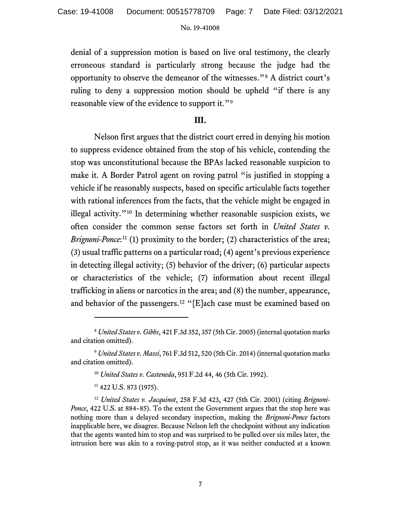denial of a suppression motion is based on live oral testimony, the clearly erroneous standard is particularly strong because the judge had the opportunity to observe the demeanor of the witnesses."[8](#page-6-0) A district court's ruling to deny a suppression motion should be upheld "if there is any reasonable view of the evidence to support it."[9](#page-6-1)

## **III.**

Nelson first argues that the district court erred in denying his motion to suppress evidence obtained from the stop of his vehicle, contending the stop was unconstitutional because the BPAs lacked reasonable suspicion to make it. A Border Patrol agent on roving patrol "is justified in stopping a vehicle if he reasonably suspects, based on specific articulable facts together with rational inferences from the facts, that the vehicle might be engaged in illegal activity."[10](#page-6-2) In determining whether reasonable suspicion exists, we often consider the common sense factors set forth in *United States v.*  Brignoni-Ponce:<sup>[11](#page-6-3)</sup> (1) proximity to the border; (2) characteristics of the area; (3) usual traffic patterns on a particular road; (4) agent's previous experience in detecting illegal activity; (5) behavior of the driver; (6) particular aspects or characteristics of the vehicle; (7) information about recent illegal trafficking in aliens or narcotics in the area; and (8) the number, appearance, and behavior of the passengers.[12](#page-6-4) "[E]ach case must be examined based on

<span id="page-6-0"></span><sup>8</sup> *United States v. Gibbs*, 421 F.3d 352, 357 (5th Cir. 2005) (internal quotation marks and citation omitted).

<span id="page-6-2"></span><span id="page-6-1"></span><sup>9</sup> *United States v. Massi*, 761 F.3d 512, 520 (5th Cir. 2014) (internal quotation marks and citation omitted).

<sup>10</sup> *United States v. Casteneda*, 951 F.2d 44, 46 (5th Cir. 1992).

<sup>&</sup>lt;sup>11</sup> 422 U.S. 873 (1975).

<span id="page-6-4"></span><span id="page-6-3"></span><sup>12</sup> *United States v. Jacquinot*, 258 F.3d 423, 427 (5th Cir. 2001) (citing *Brignoni-Ponce*, 422 U.S. at 884–85). To the extent the Government argues that the stop here was nothing more than a delayed secondary inspection, making the *Brignoni-Ponce* factors inapplicable here, we disagree. Because Nelson left the checkpoint without any indication that the agents wanted him to stop and was surprised to be pulled over six miles later, the intrusion here was akin to a roving-patrol stop, as it was neither conducted at a known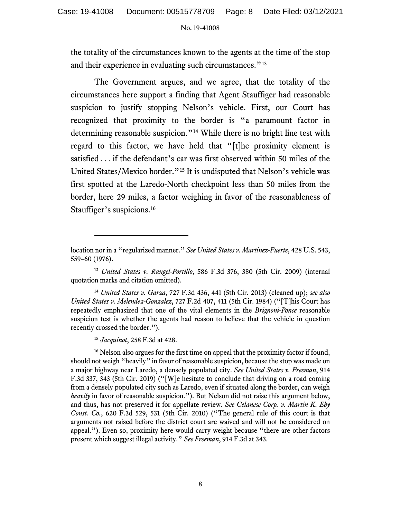the totality of the circumstances known to the agents at the time of the stop and their experience in evaluating such circumstances."<sup>[13](#page-7-0)</sup>

The Government argues, and we agree, that the totality of the circumstances here support a finding that Agent Stauffiger had reasonable suspicion to justify stopping Nelson's vehicle. First, our Court has recognized that proximity to the border is "a paramount factor in determining reasonable suspicion."[14](#page-7-1) While there is no bright line test with regard to this factor, we have held that "[t]he proximity element is satisfied . . . if the defendant's car was first observed within 50 miles of the United States/Mexico border."[15](#page-7-2) It is undisputed that Nelson's vehicle was first spotted at the Laredo-North checkpoint less than 50 miles from the border, here 29 miles, a factor weighing in favor of the reasonableness of Stauffiger's suspicions.<sup>[16](#page-7-3)</sup>

<sup>15</sup> *Jacquinot*, 258 F.3d at 428.

<span id="page-7-3"></span><span id="page-7-2"></span><sup>16</sup> Nelson also argues for the first time on appeal that the proximity factor if found, should not weigh "heavily" in favor of reasonable suspicion, because the stop was made on a major highway near Laredo, a densely populated city. *See United States v. Freeman*, 914 F.3d 337, 343 (5th Cir. 2019) ("[W]e hesitate to conclude that driving on a road coming from a densely populated city such as Laredo, even if situated along the border, can weigh *heavily* in favor of reasonable suspicion."). But Nelson did not raise this argument below, and thus, has not preserved it for appellate review. *See Celanese Corp. v. Martin K. Eby Const. Co.*, 620 F.3d 529, 531 (5th Cir. 2010) ("The general rule of this court is that arguments not raised before the district court are waived and will not be considered on appeal."). Even so, proximity here would carry weight because "there are other factors present which suggest illegal activity." *See Freeman*, 914 F.3d at 343.

location nor in a "regularized manner." *See United States v. Martinez-Fuerte*, 428 U.S. 543, 559–60 (1976).

<span id="page-7-0"></span><sup>13</sup> *United States v. Rangel-Portillo*, 586 F.3d 376, 380 (5th Cir. 2009) (internal quotation marks and citation omitted).

<span id="page-7-1"></span><sup>14</sup> *United States v. Garza*, 727 F.3d 436, 441 (5th Cir. 2013) (cleaned up); *see also United States v. Melendez-Gonzalez*, 727 F.2d 407, 411 (5th Cir. 1984) ("[T]his Court has repeatedly emphasized that one of the vital elements in the *Brignoni-Ponce* reasonable suspicion test is whether the agents had reason to believe that the vehicle in question recently crossed the border.").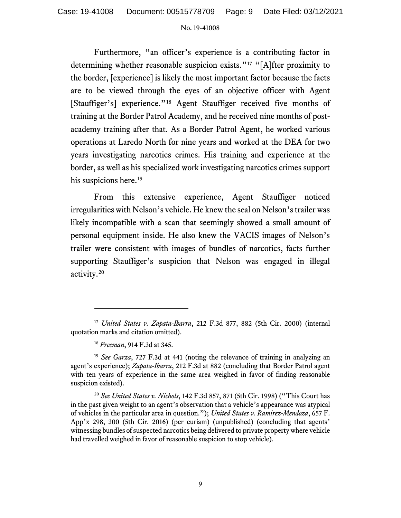Furthermore, "an officer's experience is a contributing factor in determining whether reasonable suspicion exists."<sup>[17](#page-8-0)</sup> "[A]fter proximity to the border, [experience] is likely the most important factor because the facts are to be viewed through the eyes of an objective officer with Agent [Stauffiger's] experience."<sup>[18](#page-8-1)</sup> Agent Stauffiger received five months of training at the Border Patrol Academy, and he received nine months of postacademy training after that. As a Border Patrol Agent, he worked various operations at Laredo North for nine years and worked at the DEA for two years investigating narcotics crimes. His training and experience at the border, as well as his specialized work investigating narcotics crimes support his suspicions here. [19](#page-8-2)

From this extensive experience, Agent Stauffiger noticed irregularities with Nelson's vehicle. He knew the seal on Nelson's trailer was likely incompatible with a scan that seemingly showed a small amount of personal equipment inside. He also knew the VACIS images of Nelson's trailer were consistent with images of bundles of narcotics, facts further supporting Stauffiger's suspicion that Nelson was engaged in illegal activity. [20](#page-8-3)

<span id="page-8-0"></span><sup>17</sup> *United States v. Zapata-Ibarra*, 212 F.3d 877, 882 (5th Cir. 2000) (internal quotation marks and citation omitted).

<sup>18</sup> *Freeman*, 914 F.3d at 345.

<span id="page-8-2"></span><span id="page-8-1"></span><sup>19</sup> *See Garza*, 727 F.3d at 441 (noting the relevance of training in analyzing an agent's experience); *Zapata-Ibarra*, 212 F.3d at 882 (concluding that Border Patrol agent with ten years of experience in the same area weighed in favor of finding reasonable suspicion existed).

<span id="page-8-3"></span><sup>20</sup> *See United States v. Nichols*, 142 F.3d 857, 871 (5th Cir. 1998) ("This Court has in the past given weight to an agent's observation that a vehicle's appearance was atypical of vehicles in the particular area in question."); *United States v. Ramirez-Mendoza*, 657 F. App'x 298, 300 (5th Cir. 2016) (per curiam) (unpublished) (concluding that agents' witnessing bundles of suspected narcotics being delivered to private property where vehicle had travelled weighed in favor of reasonable suspicion to stop vehicle).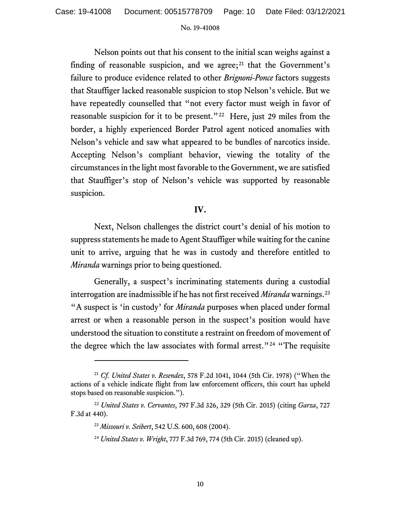Nelson points out that his consent to the initial scan weighs against a finding of reasonable suspicion, and we agree; $^{21}$  $^{21}$  $^{21}$  that the Government's failure to produce evidence related to other *Brignoni-Ponce* factors suggests that Stauffiger lacked reasonable suspicion to stop Nelson's vehicle. But we have repeatedly counselled that "not every factor must weigh in favor of reasonable suspicion for it to be present."<sup>22</sup> Here, just 29 miles from the border, a highly experienced Border Patrol agent noticed anomalies with Nelson's vehicle and saw what appeared to be bundles of narcotics inside. Accepting Nelson's compliant behavior, viewing the totality of the circumstances in the light most favorable to the Government, we are satisfied that Stauffiger's stop of Nelson's vehicle was supported by reasonable suspicion.

## **IV.**

Next, Nelson challenges the district court's denial of his motion to suppress statements he made to Agent Stauffiger while waiting for the canine unit to arrive, arguing that he was in custody and therefore entitled to *Miranda* warnings prior to being questioned.

Generally, a suspect's incriminating statements during a custodial interrogation are inadmissible if he has not first received *Miranda* warnings.[23](#page-9-2) "A suspect is 'in custody' for *Miranda* purposes when placed under formal arrest or when a reasonable person in the suspect's position would have understood the situation to constitute a restraint on freedom of movement of the degree which the law associates with formal arrest."<sup>[24](#page-9-3)</sup> "The requisite

<span id="page-9-0"></span><sup>21</sup> *Cf. United States v. Resendez*, 578 F.2d 1041, 1044 (5th Cir. 1978) ("When the actions of a vehicle indicate flight from law enforcement officers, this court has upheld stops based on reasonable suspicion.").

<span id="page-9-3"></span><span id="page-9-2"></span><span id="page-9-1"></span><sup>22</sup> *United States v. Cervantes*, 797 F.3d 326, 329 (5th Cir. 2015) (citing *Garza*, 727 F.3d at 440).

<sup>23</sup> *Missouri v. Seibert*, 542 U.S. 600, 608 (2004).

<sup>24</sup> *United States v. Wright*, 777 F.3d 769, 774 (5th Cir. 2015) (cleaned up).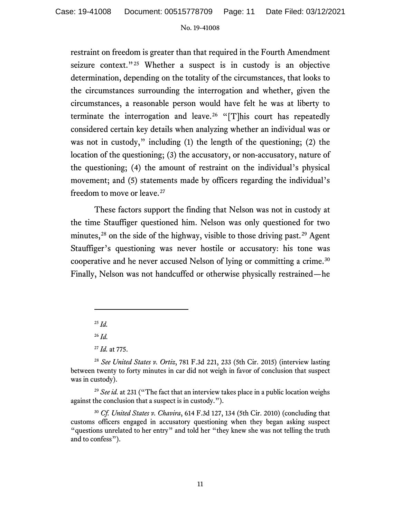restraint on freedom is greater than that required in the Fourth Amendment seizure context."<sup>[25](#page-10-0)</sup> Whether a suspect is in custody is an objective determination, depending on the totality of the circumstances, that looks to the circumstances surrounding the interrogation and whether, given the circumstances, a reasonable person would have felt he was at liberty to terminate the interrogation and leave.<sup>[26](#page-10-1)</sup> "[T]his court has repeatedly considered certain key details when analyzing whether an individual was or was not in custody," including (1) the length of the questioning; (2) the location of the questioning; (3) the accusatory, or non-accusatory, nature of the questioning; (4) the amount of restraint on the individual's physical movement; and (5) statements made by officers regarding the individual's freedom to move or leave.[27](#page-10-2)

These factors support the finding that Nelson was not in custody at the time Stauffiger questioned him. Nelson was only questioned for two minutes,<sup>[28](#page-10-3)</sup> on the side of the highway, visible to those driving past.<sup>[29](#page-10-4)</sup> Agent Stauffiger's questioning was never hostile or accusatory: his tone was cooperative and he never accused Nelson of lying or committing a crime.[30](#page-10-5) Finally, Nelson was not handcuffed or otherwise physically restrained—he

<sup>25</sup> *Id.*

<sup>26</sup> *Id.* 

<sup>27</sup> *Id.* at 775.

<span id="page-10-4"></span><sup>29</sup> See id. at 231 ("The fact that an interview takes place in a public location weighs against the conclusion that a suspect is in custody.").

<span id="page-10-3"></span><span id="page-10-2"></span><span id="page-10-1"></span><span id="page-10-0"></span><sup>28</sup> *See United States v. Ortiz*, 781 F.3d 221, 233 (5th Cir. 2015) (interview lasting between twenty to forty minutes in car did not weigh in favor of conclusion that suspect was in custody).

<span id="page-10-5"></span><sup>30</sup> *Cf. United States v. Chavira*, 614 F.3d 127, 134 (5th Cir. 2010) (concluding that customs officers engaged in accusatory questioning when they began asking suspect "questions unrelated to her entry" and told her "they knew she was not telling the truth and to confess").